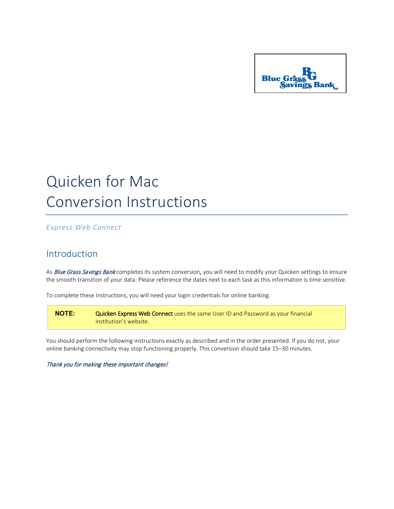

## Quicken for Mac Conversion Instructions

*Express Web Connect*

## Introduction

As Blue Grass Savings Bank completes its system conversion, you will need to modify your Quicken settings to ensure the smooth transition of your data. Please reference the dates next to each task as this information is time sensitive.

To complete these instructions, you will need your login credentials for online banking.

**NOTE:** Quicken Express Web Connect uses the same User ID and Password as your financial institution's website.

You should perform the following instructions exactly as described and in the order presented. If you do not, your online banking connectivity may stop functioning properly. This conversion should take 15–30 minutes.

Thank you for making these important changes!